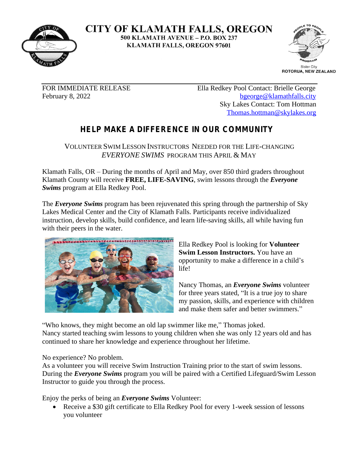

**CITY OF KLAMATH FALLS, OREGON** 500 KLAMATH AVENUE - P.O. BOX 237 **KLAMATH FALLS, OREGON 97601** 



FOR IMMEDIATE RELEASE Ella Redkey Pool Contact: Brielle George February 8, 2022 [bgeorge@klamathfalls.city](mailto:bgeorge@klamathfalls.city) Sky Lakes Contact: Tom Hottman [Thomas.hottman@skylakes.org](mailto:Thomas.hottman@skylakes.org)

## **HELP MAKE A DIFFERENCE IN OUR COMMUNITY**

VOLUNTEER SWIM LESSON INSTRUCTORS NEEDED FOR THE LIFE-CHANGING *EVERYONE SWIMS* PROGRAM THIS APRIL & MAY

Klamath Falls, OR – During the months of April and May, over 850 third graders throughout Klamath County will receive **FREE, LIFE-SAVING**, swim lessons through the *Everyone Swims* program at Ella Redkey Pool.

The *Everyone Swims* program has been rejuvenated this spring through the partnership of Sky Lakes Medical Center and the City of Klamath Falls. Participants receive individualized instruction, develop skills, build confidence, and learn life-saving skills, all while having fun with their peers in the water.



Ella Redkey Pool is looking for **Volunteer Swim Lesson Instructors.** You have an opportunity to make a difference in a child's life!

Nancy Thomas, an *Everyone Swims* volunteer for three years stated, "It is a true joy to share my passion, skills, and experience with children and make them safer and better swimmers."

"Who knows, they might become an old lap swimmer like me," Thomas joked. Nancy started teaching swim lessons to young children when she was only 12 years old and has continued to share her knowledge and experience throughout her lifetime.

No experience? No problem.

As a volunteer you will receive Swim Instruction Training prior to the start of swim lessons. During the *Everyone Swims* program you will be paired with a Certified Lifeguard/Swim Lesson Instructor to guide you through the process.

Enjoy the perks of being an *Everyone Swims* Volunteer:

 Receive a \$30 gift certificate to Ella Redkey Pool for every 1-week session of lessons you volunteer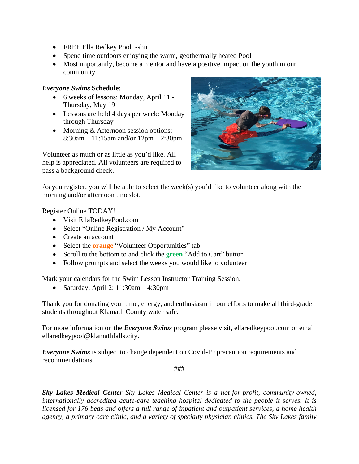- FREE Ella Redkey Pool t-shirt
- Spend time outdoors enjoying the warm, geothermally heated Pool
- Most importantly, become a mentor and have a positive impact on the youth in our community

## *Everyone Swims* **Schedule**:

- 6 weeks of lessons: Monday, April 11 Thursday, May 19
- Lessons are held 4 days per week: Monday through Thursday
- Morning & Afternoon session options: 8:30am – 11:15am and/or 12pm – 2:30pm

Volunteer as much or as little as you'd like. All help is appreciated. All volunteers are required to pass a background check.



As you register, you will be able to select the week(s) you'd like to volunteer along with the morning and/or afternoon timeslot.

## Register Online TODAY!

- Visit EllaRedkeyPool.com
- Select "Online Registration / My Account"
- Create an account
- Select the **orange** "Volunteer Opportunities" tab
- Scroll to the bottom to and click the **green** "Add to Cart" button
- Follow prompts and select the weeks you would like to volunteer

Mark your calendars for the Swim Lesson Instructor Training Session.

Saturday, April 2:  $11:30$ am  $-4:30$ pm

Thank you for donating your time, energy, and enthusiasm in our efforts to make all third-grade students throughout Klamath County water safe.

For more information on the *Everyone Swims* program please visit, ellaredkeypool.com or email ellaredkeypool@klamathfalls.city.

*Everyone Swims* is subject to change dependent on Covid-19 precaution requirements and recommendations.

###

*Sky Lakes Medical Center Sky Lakes Medical Center is a not-for-profit, community-owned, internationally accredited acute-care teaching hospital dedicated to the people it serves. It is licensed for 176 beds and offers a full range of inpatient and outpatient services, a home health agency, a primary care clinic, and a variety of specialty physician clinics. The Sky Lakes family*